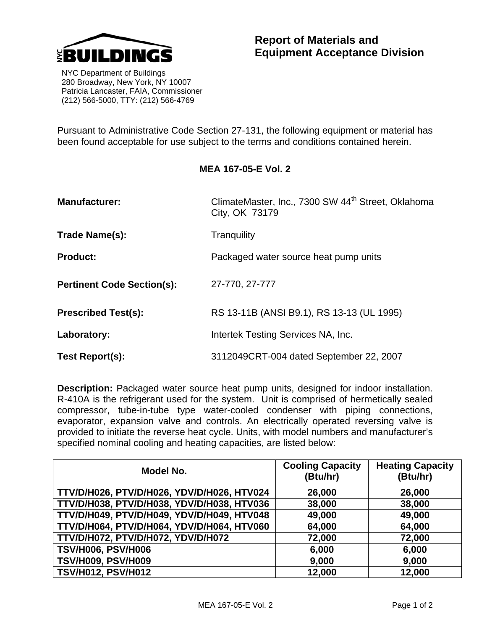

 NYC Department of Buildings 280 Broadway, New York, NY 10007 Patricia Lancaster, FAIA, Commissioner (212) 566-5000, TTY: (212) 566-4769

Pursuant to Administrative Code Section 27-131, the following equipment or material has been found acceptable for use subject to the terms and conditions contained herein.

## **MEA 167-05-E Vol. 2**

| <b>Manufacturer:</b>              | ClimateMaster, Inc., 7300 SW 44 <sup>th</sup> Street, Oklahoma<br>City, OK 73179 |  |
|-----------------------------------|----------------------------------------------------------------------------------|--|
| Trade Name(s):                    | Tranguility                                                                      |  |
| <b>Product:</b>                   | Packaged water source heat pump units                                            |  |
| <b>Pertinent Code Section(s):</b> | 27-770, 27-777                                                                   |  |
| <b>Prescribed Test(s):</b>        | RS 13-11B (ANSI B9.1), RS 13-13 (UL 1995)                                        |  |
| Laboratory:                       | Intertek Testing Services NA, Inc.                                               |  |
| Test Report(s):                   | 3112049CRT-004 dated September 22, 2007                                          |  |

**Description:** Packaged water source heat pump units, designed for indoor installation. R-410A is the refrigerant used for the system. Unit is comprised of hermetically sealed compressor, tube-in-tube type water-cooled condenser with piping connections, evaporator, expansion valve and controls. An electrically operated reversing valve is provided to initiate the reverse heat cycle. Units, with model numbers and manufacturer's specified nominal cooling and heating capacities, are listed below:

| Model No.                                  | <b>Cooling Capacity</b><br>(Btu/hr) | <b>Heating Capacity</b><br>(Btu/hr) |
|--------------------------------------------|-------------------------------------|-------------------------------------|
| TTV/D/H026, PTV/D/H026, YDV/D/H026, HTV024 | 26,000                              | 26,000                              |
| TTV/D/H038, PTV/D/H038, YDV/D/H038, HTV036 | 38,000                              | 38,000                              |
| TTV/D/H049, PTV/D/H049, YDV/D/H049, HTV048 | 49,000                              | 49,000                              |
| TTV/D/H064, PTV/D/H064, YDV/D/H064, HTV060 | 64,000                              | 64,000                              |
| TTV/D/H072, PTV/D/H072, YDV/D/H072         | 72,000                              | 72,000                              |
| <b>TSV/H006, PSV/H006</b>                  | 6,000                               | 6,000                               |
| <b>TSV/H009, PSV/H009</b>                  | 9,000                               | 9,000                               |
| <b>TSV/H012, PSV/H012</b>                  | 12,000                              | 12,000                              |